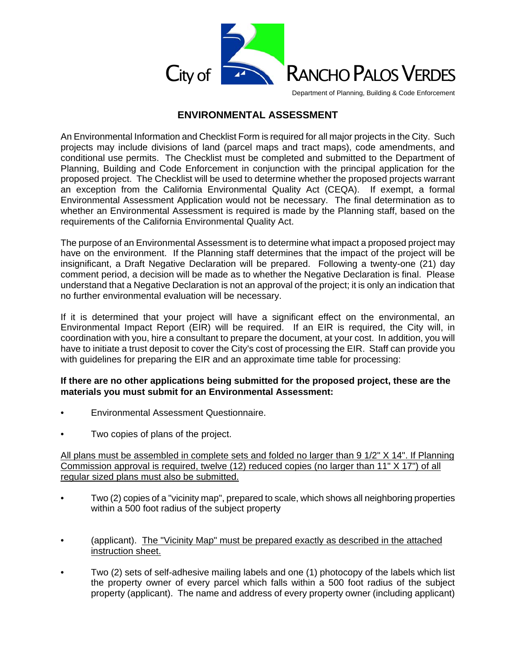

Department of Planning, Building & Code Enforcement

### **ENVIRONMENTAL ASSESSMENT**

An Environmental Information and Checklist Form is required for all major projects in the City. Such projects may include divisions of land (parcel maps and tract maps), code amendments, and conditional use permits. The Checklist must be completed and submitted to the Department of Planning, Building and Code Enforcement in conjunction with the principal application for the proposed project. The Checklist will be used to determine whether the proposed projects warrant an exception from the California Environmental Quality Act (CEQA). If exempt, a formal Environmental Assessment Application would not be necessary. The final determination as to whether an Environmental Assessment is required is made by the Planning staff, based on the requirements of the California Environmental Quality Act.

The purpose of an Environmental Assessment is to determine what impact a proposed project may have on the environment. If the Planning staff determines that the impact of the project will be insignificant, a Draft Negative Declaration will be prepared. Following a twenty-one (21) day comment period, a decision will be made as to whether the Negative Declaration is final. Please understand that a Negative Declaration is not an approval of the project; it is only an indication that no further environmental evaluation will be necessary.

If it is determined that your project will have a significant effect on the environmental, an Environmental Impact Report (EIR) will be required. If an EIR is required, the City will, in coordination with you, hire a consultant to prepare the document, at your cost. In addition, you will have to initiate a trust deposit to cover the City's cost of processing the EIR. Staff can provide you with guidelines for preparing the EIR and an approximate time table for processing:

#### **If there are no other applications being submitted for the proposed project, these are the materials you must submit for an Environmental Assessment:**

- Environmental Assessment Questionnaire.
- Two copies of plans of the project.

All plans must be assembled in complete sets and folded no larger than 9 1/2" X 14". If Planning Commission approval is required, twelve (12) reduced copies (no larger than 11" X 17") of all regular sized plans must also be submitted.

- Two (2) copies of a "vicinity map", prepared to scale, which shows all neighboring properties within a 500 foot radius of the subject property
- (applicant). The "Vicinity Map" must be prepared exactly as described in the attached instruction sheet.
- Two (2) sets of self-adhesive mailing labels and one (1) photocopy of the labels which list the property owner of every parcel which falls within a 500 foot radius of the subject property (applicant). The name and address of every property owner (including applicant)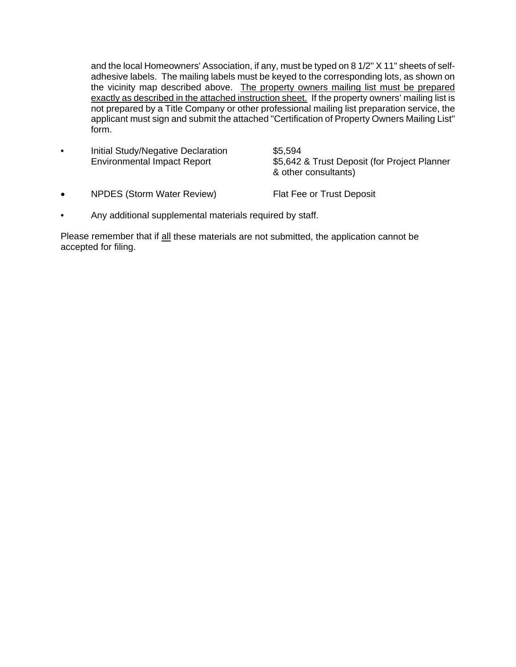and the local Homeowners' Association, if any, must be typed on 8 1/2" X 11" sheets of selfadhesive labels. The mailing labels must be keyed to the corresponding lots, as shown on the vicinity map described above. The property owners mailing list must be prepared exactly as described in the attached instruction sheet. If the property owners' mailing list is not prepared by a Title Company or other professional mailing list preparation service, the applicant must sign and submit the attached "Certification of Property Owners Mailing List" form.

- Initial Study/Negative Declaration \$5,594 Environmental Impact Report \$5,642 & Trust Deposit (for Project Planner & other consultants)
- NPDES (Storm Water Review) Flat Fee or Trust Deposit
- Any additional supplemental materials required by staff.

Please remember that if all these materials are not submitted, the application cannot be accepted for filing.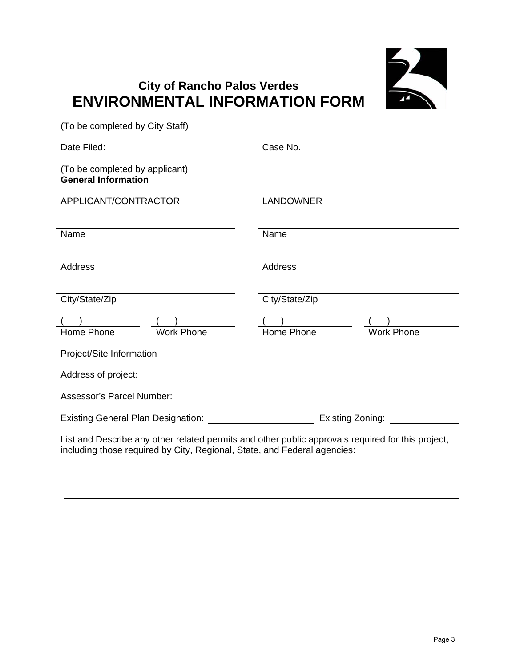

# **City of Rancho Palos Verdes ENVIRONMENTAL INFORMATION FORM**

(To be completed by City Staff)

Date Filed: Case No. (To be completed by applicant) **General Information**  APPLICANT/CONTRACTOR LANDOWNER Name Name Name Name Address Address City/State/Zip City/State/Zip  $( \quad )$  ( ) ( ) ( ) Home Phone Work Phone Home Phone Work Phone Project/Site Information Address of project: Assessor's Parcel Number: Existing General Plan Designation: Existing Zoning: List and Describe any other related permits and other public approvals required for this project, including those required by City, Regional, State, and Federal agencies: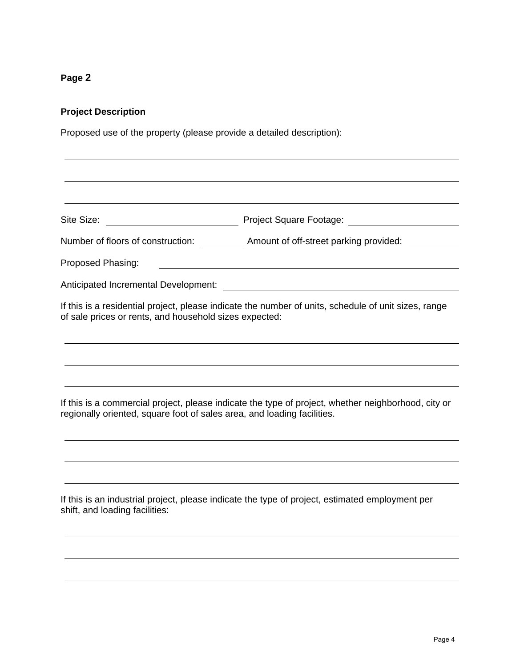#### **Project Description**

Proposed use of the property (please provide a detailed description):

Site Size: The Size: The Size: Project Square Footage:

Number of floors of construction: Amount of off-street parking provided:

Proposed Phasing:

Anticipated Incremental Development:

If this is a residential project, please indicate the number of units, schedule of unit sizes, range of sale prices or rents, and household sizes expected:

If this is a commercial project, please indicate the type of project, whether neighborhood, city or regionally oriented, square foot of sales area, and loading facilities.

If this is an industrial project, please indicate the type of project, estimated employment per shift, and loading facilities: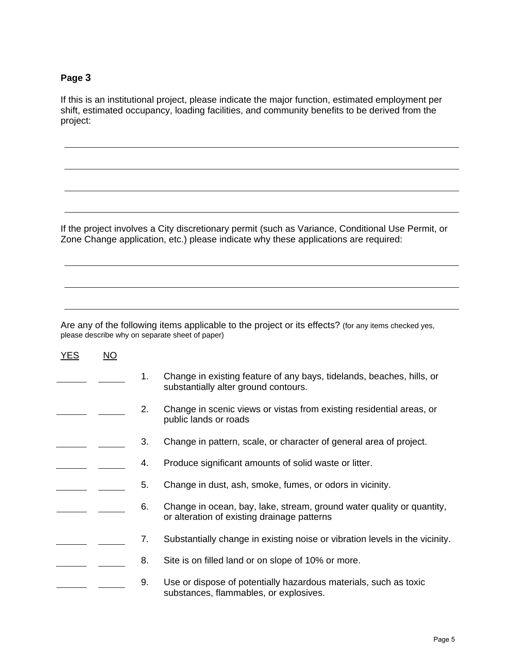If this is an institutional project, please indicate the major function, estimated employment per shift, estimated occupancy, loading facilities, and community benefits to be derived from the project:

If the project involves a City discretionary permit (such as Variance, Conditional Use Permit, or Zone Change application, etc.) please indicate why these applications are required:

Are any of the following items applicable to the project or its effects? (for any items checked yes, please describe why on separate sheet of paper)

| YES | $\overline{NO}$ |    |                                                                                                                      |
|-----|-----------------|----|----------------------------------------------------------------------------------------------------------------------|
|     |                 | 1. | Change in existing feature of any bays, tidelands, beaches, hills, or<br>substantially alter ground contours.        |
|     |                 | 2. | Change in scenic views or vistas from existing residential areas, or<br>public lands or roads                        |
|     |                 | 3. | Change in pattern, scale, or character of general area of project.                                                   |
|     |                 | 4. | Produce significant amounts of solid waste or litter.                                                                |
|     |                 | 5. | Change in dust, ash, smoke, fumes, or odors in vicinity.                                                             |
|     |                 | 6. | Change in ocean, bay, lake, stream, ground water quality or quantity,<br>or alteration of existing drainage patterns |
|     |                 | 7. | Substantially change in existing noise or vibration levels in the vicinity.                                          |
|     |                 | 8. | Site is on filled land or on slope of 10% or more.                                                                   |
|     |                 | 9. | Use or dispose of potentially hazardous materials, such as toxic<br>substances, flammables, or explosives.           |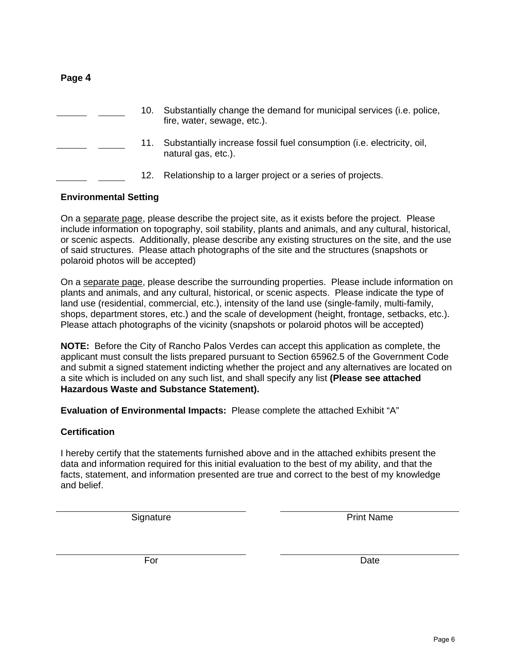|  | 10. | Substantially change the demand for municipal services (i.e. police,<br>fire, water, sewage, etc.). |
|--|-----|-----------------------------------------------------------------------------------------------------|
|  | 11. | Substantially increase fossil fuel consumption (i.e. electricity, oil,<br>natural gas, etc.).       |
|  | 12. | Relationship to a larger project or a series of projects.                                           |

#### **Environmental Setting**

**Page 4**

On a separate page, please describe the project site, as it exists before the project. Please include information on topography, soil stability, plants and animals, and any cultural, historical, or scenic aspects. Additionally, please describe any existing structures on the site, and the use of said structures. Please attach photographs of the site and the structures (snapshots or polaroid photos will be accepted)

On a separate page, please describe the surrounding properties. Please include information on plants and animals, and any cultural, historical, or scenic aspects. Please indicate the type of land use (residential, commercial, etc.), intensity of the land use (single-family, multi-family, shops, department stores, etc.) and the scale of development (height, frontage, setbacks, etc.). Please attach photographs of the vicinity (snapshots or polaroid photos will be accepted)

**NOTE:** Before the City of Rancho Palos Verdes can accept this application as complete, the applicant must consult the lists prepared pursuant to Section 65962.5 of the Government Code and submit a signed statement indicting whether the project and any alternatives are located on a site which is included on any such list, and shall specify any list **(Please see attached Hazardous Waste and Substance Statement).** 

**Evaluation of Environmental Impacts:** Please complete the attached Exhibit "A"

#### **Certification**

I hereby certify that the statements furnished above and in the attached exhibits present the data and information required for this initial evaluation to the best of my ability, and that the facts, statement, and information presented are true and correct to the best of my knowledge and belief.

Signature **Print Name** 

For Date **Date**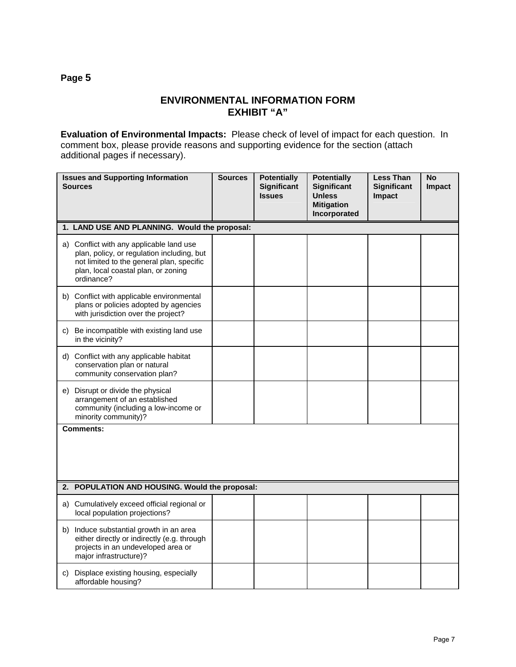### **ENVIRONMENTAL INFORMATION FORM EXHIBIT "A"**

**Evaluation of Environmental Impacts:** Please check of level of impact for each question. In comment box, please provide reasons and supporting evidence for the section (attach additional pages if necessary).

|    | <b>Issues and Supporting Information</b><br><b>Sources</b>                                                                                                                               | <b>Sources</b> | <b>Potentially</b><br><b>Significant</b><br><b>Issues</b> | <b>Potentially</b><br><b>Significant</b><br>Unless<br><b>Mitigation</b><br>Incorporated | <b>Less Than</b><br><b>Significant</b><br>Impact | <b>No</b><br>Impact |
|----|------------------------------------------------------------------------------------------------------------------------------------------------------------------------------------------|----------------|-----------------------------------------------------------|-----------------------------------------------------------------------------------------|--------------------------------------------------|---------------------|
|    | 1. LAND USE AND PLANNING. Would the proposal:                                                                                                                                            |                |                                                           |                                                                                         |                                                  |                     |
|    | a) Conflict with any applicable land use<br>plan, policy, or regulation including, but<br>not limited to the general plan, specific<br>plan, local coastal plan, or zoning<br>ordinance? |                |                                                           |                                                                                         |                                                  |                     |
|    | b) Conflict with applicable environmental<br>plans or policies adopted by agencies<br>with jurisdiction over the project?                                                                |                |                                                           |                                                                                         |                                                  |                     |
| C) | Be incompatible with existing land use<br>in the vicinity?                                                                                                                               |                |                                                           |                                                                                         |                                                  |                     |
|    | d) Conflict with any applicable habitat<br>conservation plan or natural<br>community conservation plan?                                                                                  |                |                                                           |                                                                                         |                                                  |                     |
|    | e) Disrupt or divide the physical<br>arrangement of an established<br>community (including a low-income or<br>minority community)?                                                       |                |                                                           |                                                                                         |                                                  |                     |
|    | Comments:                                                                                                                                                                                |                |                                                           |                                                                                         |                                                  |                     |
|    | 2. POPULATION AND HOUSING. Would the proposal:                                                                                                                                           |                |                                                           |                                                                                         |                                                  |                     |
|    | a) Cumulatively exceed official regional or<br>local population projections?                                                                                                             |                |                                                           |                                                                                         |                                                  |                     |
|    | b) Induce substantial growth in an area<br>either directly or indirectly (e.g. through<br>projects in an undeveloped area or<br>major infrastructure)?                                   |                |                                                           |                                                                                         |                                                  |                     |
| C) | Displace existing housing, especially<br>affordable housing?                                                                                                                             |                |                                                           |                                                                                         |                                                  |                     |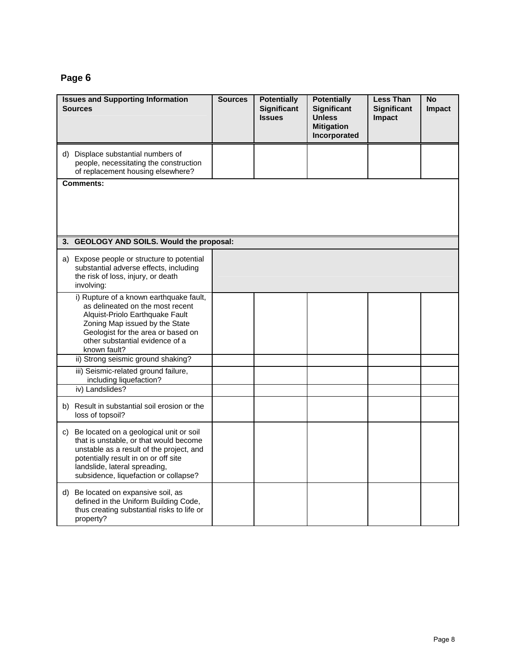| <b>Issues and Supporting Information</b><br><b>Sources</b>                                                                                                                                                                                            | <b>Sources</b> | <b>Potentially</b><br><b>Significant</b><br><b>Issues</b> | <b>Potentially</b><br><b>Significant</b><br><b>Unless</b><br><b>Mitigation</b><br>Incorporated | <b>Less Than</b><br><b>Significant</b><br>Impact | <b>No</b><br><b>Impact</b> |
|-------------------------------------------------------------------------------------------------------------------------------------------------------------------------------------------------------------------------------------------------------|----------------|-----------------------------------------------------------|------------------------------------------------------------------------------------------------|--------------------------------------------------|----------------------------|
| d) Displace substantial numbers of<br>people, necessitating the construction<br>of replacement housing elsewhere?                                                                                                                                     |                |                                                           |                                                                                                |                                                  |                            |
| <b>Comments:</b>                                                                                                                                                                                                                                      |                |                                                           |                                                                                                |                                                  |                            |
| 3. GEOLOGY AND SOILS. Would the proposal:                                                                                                                                                                                                             |                |                                                           |                                                                                                |                                                  |                            |
| a) Expose people or structure to potential<br>substantial adverse effects, including<br>the risk of loss, injury, or death<br>involving:                                                                                                              |                |                                                           |                                                                                                |                                                  |                            |
| i) Rupture of a known earthquake fault,<br>as delineated on the most recent<br>Alquist-Priolo Earthquake Fault<br>Zoning Map issued by the State<br>Geologist for the area or based on<br>other substantial evidence of a<br>known fault?             |                |                                                           |                                                                                                |                                                  |                            |
| ii) Strong seismic ground shaking?                                                                                                                                                                                                                    |                |                                                           |                                                                                                |                                                  |                            |
| iii) Seismic-related ground failure,<br>including liquefaction?<br>iv) Landslides?                                                                                                                                                                    |                |                                                           |                                                                                                |                                                  |                            |
| b) Result in substantial soil erosion or the<br>loss of topsoil?                                                                                                                                                                                      |                |                                                           |                                                                                                |                                                  |                            |
| Be located on a geological unit or soil<br>C)<br>that is unstable, or that would become<br>unstable as a result of the project, and<br>potentially result in on or off site<br>landslide, lateral spreading,<br>subsidence, liquefaction or collapse? |                |                                                           |                                                                                                |                                                  |                            |
| d) Be located on expansive soil, as<br>defined in the Uniform Building Code,<br>thus creating substantial risks to life or<br>property?                                                                                                               |                |                                                           |                                                                                                |                                                  |                            |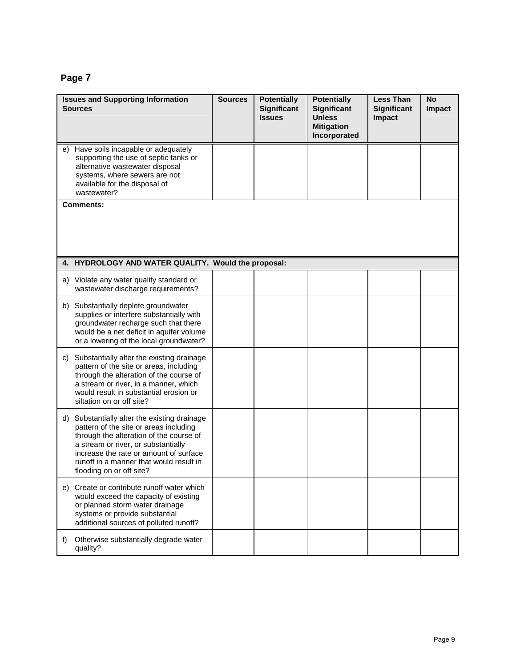| <b>Issues and Supporting Information</b><br><b>Sources</b>                                                                                                                                                                                                                                   | <b>Sources</b> | <b>Potentially</b><br><b>Significant</b><br><b>Issues</b> | <b>Potentially</b><br><b>Significant</b><br><b>Unless</b><br><b>Mitigation</b><br>Incorporated | <b>Less Than</b><br><b>Significant</b><br>Impact | <b>No</b><br>Impact |
|----------------------------------------------------------------------------------------------------------------------------------------------------------------------------------------------------------------------------------------------------------------------------------------------|----------------|-----------------------------------------------------------|------------------------------------------------------------------------------------------------|--------------------------------------------------|---------------------|
| e) Have soils incapable or adequately<br>supporting the use of septic tanks or<br>alternative wastewater disposal<br>systems, where sewers are not<br>available for the disposal of<br>wastewater?                                                                                           |                |                                                           |                                                                                                |                                                  |                     |
| <b>Comments:</b>                                                                                                                                                                                                                                                                             |                |                                                           |                                                                                                |                                                  |                     |
| 4. HYDROLOGY AND WATER QUALITY. Would the proposal:                                                                                                                                                                                                                                          |                |                                                           |                                                                                                |                                                  |                     |
| a) Violate any water quality standard or<br>wastewater discharge requirements?                                                                                                                                                                                                               |                |                                                           |                                                                                                |                                                  |                     |
| b) Substantially deplete groundwater<br>supplies or interfere substantially with<br>groundwater recharge such that there<br>would be a net deficit in aquifer volume<br>or a lowering of the local groundwater?                                                                              |                |                                                           |                                                                                                |                                                  |                     |
| Substantially alter the existing drainage<br>C)<br>pattern of the site or areas, including<br>through the alteration of the course of<br>a stream or river, in a manner, which<br>would result in substantial erosion or<br>siltation on or off site?                                        |                |                                                           |                                                                                                |                                                  |                     |
| Substantially alter the existing drainage<br>d)<br>pattern of the site or areas including<br>through the alteration of the course of<br>a stream or river, or substantially<br>increase the rate or amount of surface<br>runoff in a manner that would result in<br>flooding on or off site? |                |                                                           |                                                                                                |                                                  |                     |
| e) Create or contribute runoff water which<br>would exceed the capacity of existing<br>or planned storm water drainage<br>systems or provide substantial<br>additional sources of polluted runoff?                                                                                           |                |                                                           |                                                                                                |                                                  |                     |
| f)<br>Otherwise substantially degrade water<br>quality?                                                                                                                                                                                                                                      |                |                                                           |                                                                                                |                                                  |                     |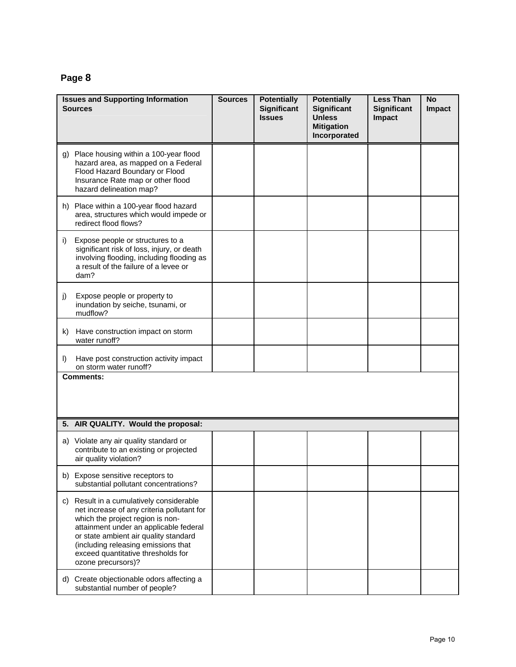| <b>Sources</b> | <b>Issues and Supporting Information</b>                                                                                                                                                                                                                                                                         | <b>Sources</b> | <b>Potentially</b><br><b>Significant</b><br><b>Issues</b> | <b>Potentially</b><br><b>Significant</b><br><b>Unless</b><br><b>Mitigation</b><br>Incorporated | <b>Less Than</b><br><b>Significant</b><br>Impact | <b>No</b><br>Impact |
|----------------|------------------------------------------------------------------------------------------------------------------------------------------------------------------------------------------------------------------------------------------------------------------------------------------------------------------|----------------|-----------------------------------------------------------|------------------------------------------------------------------------------------------------|--------------------------------------------------|---------------------|
|                | g) Place housing within a 100-year flood<br>hazard area, as mapped on a Federal<br>Flood Hazard Boundary or Flood<br>Insurance Rate map or other flood<br>hazard delineation map?                                                                                                                                |                |                                                           |                                                                                                |                                                  |                     |
|                | h) Place within a 100-year flood hazard<br>area, structures which would impede or<br>redirect flood flows?                                                                                                                                                                                                       |                |                                                           |                                                                                                |                                                  |                     |
| i)             | Expose people or structures to a<br>significant risk of loss, injury, or death<br>involving flooding, including flooding as<br>a result of the failure of a levee or<br>dam?                                                                                                                                     |                |                                                           |                                                                                                |                                                  |                     |
| j)             | Expose people or property to<br>inundation by seiche, tsunami, or<br>mudflow?                                                                                                                                                                                                                                    |                |                                                           |                                                                                                |                                                  |                     |
| k)             | Have construction impact on storm<br>water runoff?                                                                                                                                                                                                                                                               |                |                                                           |                                                                                                |                                                  |                     |
| I)             | Have post construction activity impact<br>on storm water runoff?                                                                                                                                                                                                                                                 |                |                                                           |                                                                                                |                                                  |                     |
|                | <b>Comments:</b>                                                                                                                                                                                                                                                                                                 |                |                                                           |                                                                                                |                                                  |                     |
|                | 5. AIR QUALITY. Would the proposal:                                                                                                                                                                                                                                                                              |                |                                                           |                                                                                                |                                                  |                     |
|                | a) Violate any air quality standard or<br>contribute to an existing or projected<br>air quality violation?                                                                                                                                                                                                       |                |                                                           |                                                                                                |                                                  |                     |
|                | b) Expose sensitive receptors to<br>substantial pollutant concentrations?                                                                                                                                                                                                                                        |                |                                                           |                                                                                                |                                                  |                     |
|                | c) Result in a cumulatively considerable<br>net increase of any criteria pollutant for<br>which the project region is non-<br>attainment under an applicable federal<br>or state ambient air quality standard<br>(including releasing emissions that<br>exceed quantitative thresholds for<br>ozone precursors)? |                |                                                           |                                                                                                |                                                  |                     |
|                | d) Create objectionable odors affecting a<br>substantial number of people?                                                                                                                                                                                                                                       |                |                                                           |                                                                                                |                                                  |                     |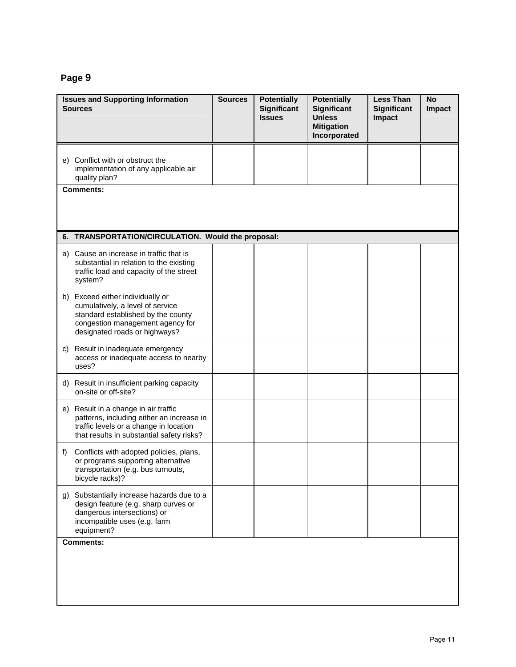|    | <b>Issues and Supporting Information</b><br><b>Sources</b>                                                                                                                      | <b>Sources</b> | <b>Potentially</b><br><b>Significant</b><br><b>Issues</b> | <b>Potentially</b><br><b>Significant</b><br><b>Unless</b><br><b>Mitigation</b><br>Incorporated | <b>Less Than</b><br><b>Significant</b><br>Impact | <b>No</b><br>Impact |
|----|---------------------------------------------------------------------------------------------------------------------------------------------------------------------------------|----------------|-----------------------------------------------------------|------------------------------------------------------------------------------------------------|--------------------------------------------------|---------------------|
| e) | Conflict with or obstruct the<br>implementation of any applicable air<br>quality plan?                                                                                          |                |                                                           |                                                                                                |                                                  |                     |
|    | <b>Comments:</b>                                                                                                                                                                |                |                                                           |                                                                                                |                                                  |                     |
|    | 6. TRANSPORTATION/CIRCULATION. Would the proposal:                                                                                                                              |                |                                                           |                                                                                                |                                                  |                     |
|    | a) Cause an increase in traffic that is<br>substantial in relation to the existing<br>traffic load and capacity of the street<br>system?                                        |                |                                                           |                                                                                                |                                                  |                     |
|    | b) Exceed either individually or<br>cumulatively, a level of service<br>standard established by the county<br>congestion management agency for<br>designated roads or highways? |                |                                                           |                                                                                                |                                                  |                     |
|    | c) Result in inadequate emergency<br>access or inadequate access to nearby<br>uses?                                                                                             |                |                                                           |                                                                                                |                                                  |                     |
| d) | Result in insufficient parking capacity<br>on-site or off-site?                                                                                                                 |                |                                                           |                                                                                                |                                                  |                     |
| e) | Result in a change in air traffic<br>patterns, including either an increase in<br>traffic levels or a change in location<br>that results in substantial safety risks?           |                |                                                           |                                                                                                |                                                  |                     |
| f) | Conflicts with adopted policies, plans,<br>or programs supporting alternative<br>transportation (e.g. bus turnouts,<br>bicycle racks)?                                          |                |                                                           |                                                                                                |                                                  |                     |
|    | g) Substantially increase hazards due to a<br>design feature (e.g. sharp curves or<br>dangerous intersections) or<br>incompatible uses (e.g. farm<br>equipment?                 |                |                                                           |                                                                                                |                                                  |                     |
|    | <b>Comments:</b>                                                                                                                                                                |                |                                                           |                                                                                                |                                                  |                     |
|    |                                                                                                                                                                                 |                |                                                           |                                                                                                |                                                  |                     |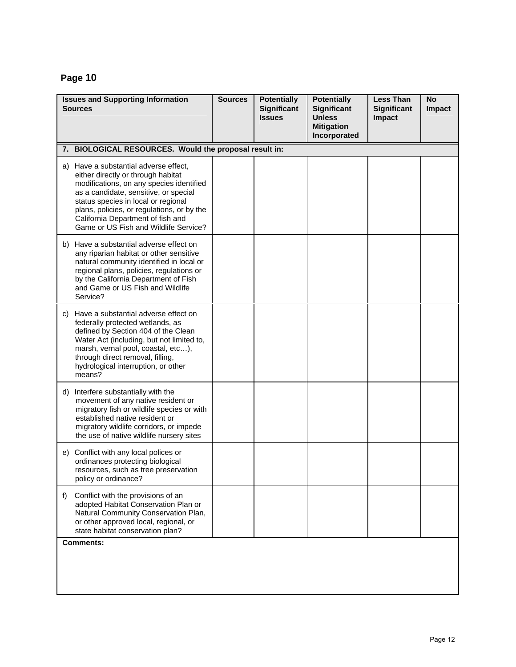|    | <b>Issues and Supporting Information</b><br><b>Sources</b>                                                                                                                                                                                                                                                                          | <b>Sources</b> | <b>Potentially</b><br><b>Significant</b><br><b>Issues</b> | <b>Potentially</b><br><b>Significant</b><br><b>Unless</b><br><b>Mitigation</b><br>Incorporated | <b>Less Than</b><br><b>Significant</b><br>Impact | <b>No</b><br>Impact |
|----|-------------------------------------------------------------------------------------------------------------------------------------------------------------------------------------------------------------------------------------------------------------------------------------------------------------------------------------|----------------|-----------------------------------------------------------|------------------------------------------------------------------------------------------------|--------------------------------------------------|---------------------|
|    | 7. BIOLOGICAL RESOURCES. Would the proposal result in:                                                                                                                                                                                                                                                                              |                |                                                           |                                                                                                |                                                  |                     |
|    | a) Have a substantial adverse effect,<br>either directly or through habitat<br>modifications, on any species identified<br>as a candidate, sensitive, or special<br>status species in local or regional<br>plans, policies, or regulations, or by the<br>California Department of fish and<br>Game or US Fish and Wildlife Service? |                |                                                           |                                                                                                |                                                  |                     |
|    | b) Have a substantial adverse effect on<br>any riparian habitat or other sensitive<br>natural community identified in local or<br>regional plans, policies, regulations or<br>by the California Department of Fish<br>and Game or US Fish and Wildlife<br>Service?                                                                  |                |                                                           |                                                                                                |                                                  |                     |
|    | c) Have a substantial adverse effect on<br>federally protected wetlands, as<br>defined by Section 404 of the Clean<br>Water Act (including, but not limited to,<br>marsh, vernal pool, coastal, etc),<br>through direct removal, filling,<br>hydrological interruption, or other<br>means?                                          |                |                                                           |                                                                                                |                                                  |                     |
| d) | Interfere substantially with the<br>movement of any native resident or<br>migratory fish or wildlife species or with<br>established native resident or<br>migratory wildlife corridors, or impede<br>the use of native wildlife nursery sites                                                                                       |                |                                                           |                                                                                                |                                                  |                     |
|    | e) Conflict with any local polices or<br>ordinances protecting biological<br>resources, such as tree preservation<br>policy or ordinance?                                                                                                                                                                                           |                |                                                           |                                                                                                |                                                  |                     |
| f  | Conflict with the provisions of an<br>adopted Habitat Conservation Plan or<br>Natural Community Conservation Plan,<br>or other approved local, regional, or<br>state habitat conservation plan?                                                                                                                                     |                |                                                           |                                                                                                |                                                  |                     |
|    | <b>Comments:</b>                                                                                                                                                                                                                                                                                                                    |                |                                                           |                                                                                                |                                                  |                     |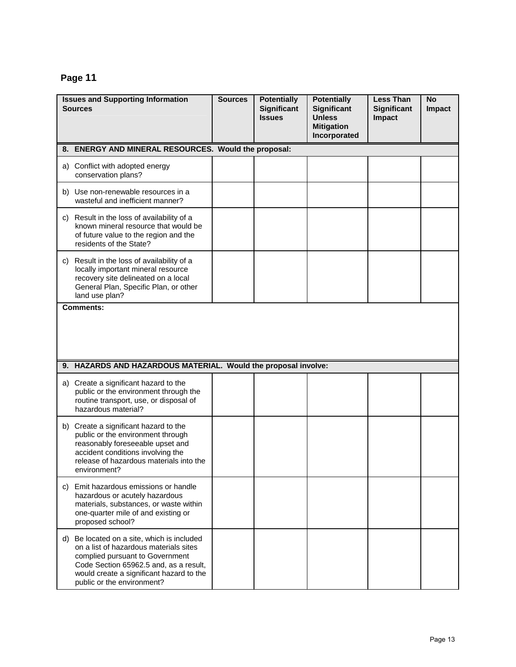|    | <b>Issues and Supporting Information</b><br><b>Sources</b>                                                                                                                                                                               | <b>Sources</b> | <b>Potentially</b><br><b>Significant</b><br><b>Issues</b> | <b>Potentially</b><br>Significant<br><b>Unless</b><br><b>Mitigation</b><br>Incorporated | <b>Less Than</b><br><b>Significant</b><br>Impact | <b>No</b><br>Impact |
|----|------------------------------------------------------------------------------------------------------------------------------------------------------------------------------------------------------------------------------------------|----------------|-----------------------------------------------------------|-----------------------------------------------------------------------------------------|--------------------------------------------------|---------------------|
|    | 8. ENERGY AND MINERAL RESOURCES. Would the proposal:                                                                                                                                                                                     |                |                                                           |                                                                                         |                                                  |                     |
|    | a) Conflict with adopted energy<br>conservation plans?                                                                                                                                                                                   |                |                                                           |                                                                                         |                                                  |                     |
|    | b) Use non-renewable resources in a<br>wasteful and inefficient manner?                                                                                                                                                                  |                |                                                           |                                                                                         |                                                  |                     |
|    | c) Result in the loss of availability of a<br>known mineral resource that would be<br>of future value to the region and the<br>residents of the State?                                                                                   |                |                                                           |                                                                                         |                                                  |                     |
|    | c) Result in the loss of availability of a<br>locally important mineral resource<br>recovery site delineated on a local<br>General Plan, Specific Plan, or other<br>land use plan?                                                       |                |                                                           |                                                                                         |                                                  |                     |
|    | <b>Comments:</b>                                                                                                                                                                                                                         |                |                                                           |                                                                                         |                                                  |                     |
|    | 9. HAZARDS AND HAZARDOUS MATERIAL. Would the proposal involve:                                                                                                                                                                           |                |                                                           |                                                                                         |                                                  |                     |
|    | a) Create a significant hazard to the<br>public or the environment through the<br>routine transport, use, or disposal of<br>hazardous material?                                                                                          |                |                                                           |                                                                                         |                                                  |                     |
|    | b) Create a significant hazard to the<br>public or the environment through<br>reasonably foreseeable upset and<br>accident conditions involving the<br>release of hazardous materials into the<br>environment?                           |                |                                                           |                                                                                         |                                                  |                     |
|    | c) Emit hazardous emissions or handle<br>hazardous or acutely hazardous<br>materials, substances, or waste within<br>one-quarter mile of and existing or<br>proposed school?                                                             |                |                                                           |                                                                                         |                                                  |                     |
| d) | Be located on a site, which is included<br>on a list of hazardous materials sites<br>complied pursuant to Government<br>Code Section 65962.5 and, as a result,<br>would create a significant hazard to the<br>public or the environment? |                |                                                           |                                                                                         |                                                  |                     |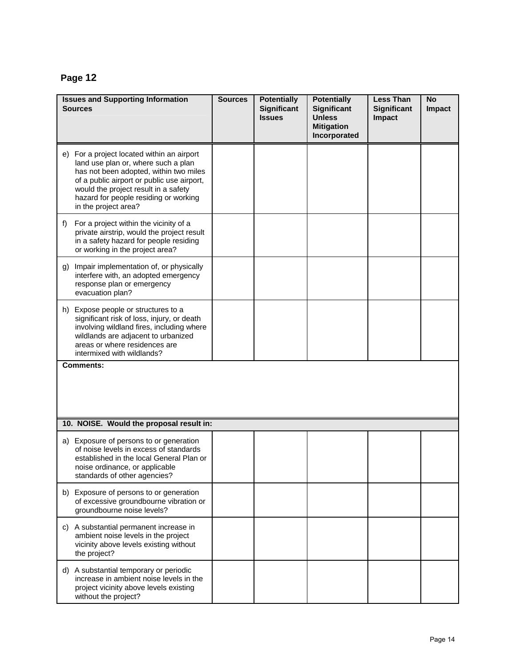| <b>Issues and Supporting Information</b><br><b>Sources</b>                                                                                                                                                                                                                         | <b>Sources</b> | <b>Potentially</b><br><b>Significant</b><br><b>Issues</b> | <b>Potentially</b><br><b>Significant</b><br><b>Unless</b><br><b>Mitigation</b><br>Incorporated | <b>Less Than</b><br><b>Significant</b><br>Impact | <b>No</b><br>Impact |
|------------------------------------------------------------------------------------------------------------------------------------------------------------------------------------------------------------------------------------------------------------------------------------|----------------|-----------------------------------------------------------|------------------------------------------------------------------------------------------------|--------------------------------------------------|---------------------|
| e) For a project located within an airport<br>land use plan or, where such a plan<br>has not been adopted, within two miles<br>of a public airport or public use airport,<br>would the project result in a safety<br>hazard for people residing or working<br>in the project area? |                |                                                           |                                                                                                |                                                  |                     |
| $f$ )<br>For a project within the vicinity of a<br>private airstrip, would the project result<br>in a safety hazard for people residing<br>or working in the project area?                                                                                                         |                |                                                           |                                                                                                |                                                  |                     |
| Impair implementation of, or physically<br>g)<br>interfere with, an adopted emergency<br>response plan or emergency<br>evacuation plan?                                                                                                                                            |                |                                                           |                                                                                                |                                                  |                     |
| h) Expose people or structures to a<br>significant risk of loss, injury, or death<br>involving wildland fires, including where<br>wildlands are adjacent to urbanized<br>areas or where residences are<br>intermixed with wildlands?                                               |                |                                                           |                                                                                                |                                                  |                     |
| <b>Comments:</b>                                                                                                                                                                                                                                                                   |                |                                                           |                                                                                                |                                                  |                     |
| 10. NOISE. Would the proposal result in:                                                                                                                                                                                                                                           |                |                                                           |                                                                                                |                                                  |                     |
| a) Exposure of persons to or generation<br>of noise levels in excess of standards<br>established in the local General Plan or<br>noise ordinance, or applicable<br>standards of other agencies?                                                                                    |                |                                                           |                                                                                                |                                                  |                     |
| b) Exposure of persons to or generation<br>of excessive groundbourne vibration or<br>groundbourne noise levels?                                                                                                                                                                    |                |                                                           |                                                                                                |                                                  |                     |
| c) A substantial permanent increase in<br>ambient noise levels in the project<br>vicinity above levels existing without<br>the project?                                                                                                                                            |                |                                                           |                                                                                                |                                                  |                     |
| d) A substantial temporary or periodic<br>increase in ambient noise levels in the<br>project vicinity above levels existing<br>without the project?                                                                                                                                |                |                                                           |                                                                                                |                                                  |                     |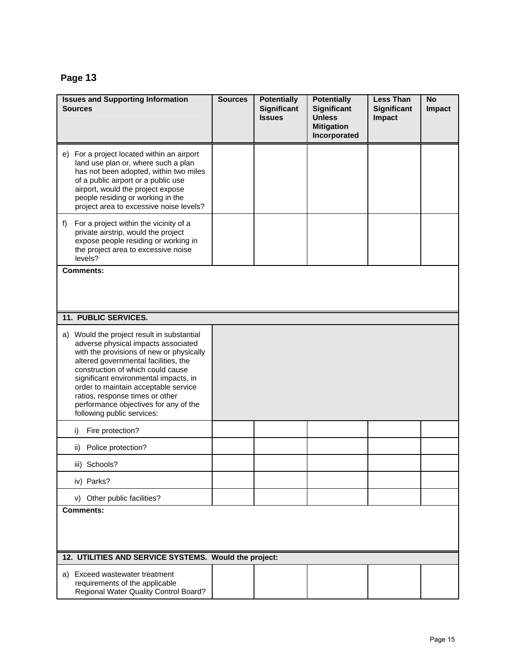| <b>Issues and Supporting Information</b><br>Sources                                                                                                                                                                                                                                                                                                                                                   | <b>Sources</b> | <b>Potentially</b><br><b>Significant</b><br><b>Issues</b> | <b>Potentially</b><br><b>Significant</b><br><b>Unless</b><br><b>Mitigation</b><br>Incorporated | <b>Less Than</b><br><b>Significant</b><br>Impact | <b>No</b><br>Impact |
|-------------------------------------------------------------------------------------------------------------------------------------------------------------------------------------------------------------------------------------------------------------------------------------------------------------------------------------------------------------------------------------------------------|----------------|-----------------------------------------------------------|------------------------------------------------------------------------------------------------|--------------------------------------------------|---------------------|
| e) For a project located within an airport<br>land use plan or, where such a plan<br>has not been adopted, within two miles<br>of a public airport or a public use<br>airport, would the project expose<br>people residing or working in the<br>project area to excessive noise levels?                                                                                                               |                |                                                           |                                                                                                |                                                  |                     |
| f)<br>For a project within the vicinity of a<br>private airstrip, would the project<br>expose people residing or working in<br>the project area to excessive noise<br>levels?                                                                                                                                                                                                                         |                |                                                           |                                                                                                |                                                  |                     |
| <b>Comments:</b>                                                                                                                                                                                                                                                                                                                                                                                      |                |                                                           |                                                                                                |                                                  |                     |
| 11. PUBLIC SERVICES.                                                                                                                                                                                                                                                                                                                                                                                  |                |                                                           |                                                                                                |                                                  |                     |
| a) Would the project result in substantial<br>adverse physical impacts associated<br>with the provisions of new or physically<br>altered governmental facilities, the<br>construction of which could cause<br>significant environmental impacts, in<br>order to maintain acceptable service<br>ratios, response times or other<br>performance objectives for any of the<br>following public services: |                |                                                           |                                                                                                |                                                  |                     |
| Fire protection?<br>i)                                                                                                                                                                                                                                                                                                                                                                                |                |                                                           |                                                                                                |                                                  |                     |
| Police protection?<br>ii)                                                                                                                                                                                                                                                                                                                                                                             |                |                                                           |                                                                                                |                                                  |                     |
| iii) Schools?                                                                                                                                                                                                                                                                                                                                                                                         |                |                                                           |                                                                                                |                                                  |                     |
| iv) Parks?                                                                                                                                                                                                                                                                                                                                                                                            |                |                                                           |                                                                                                |                                                  |                     |
| v) Other public facilities?                                                                                                                                                                                                                                                                                                                                                                           |                |                                                           |                                                                                                |                                                  |                     |
| <b>Comments:</b>                                                                                                                                                                                                                                                                                                                                                                                      |                |                                                           |                                                                                                |                                                  |                     |
| 12. UTILITIES AND SERVICE SYSTEMS. Would the project:                                                                                                                                                                                                                                                                                                                                                 |                |                                                           |                                                                                                |                                                  |                     |
| a) Exceed wastewater treatment<br>requirements of the applicable<br>Regional Water Quality Control Board?                                                                                                                                                                                                                                                                                             |                |                                                           |                                                                                                |                                                  |                     |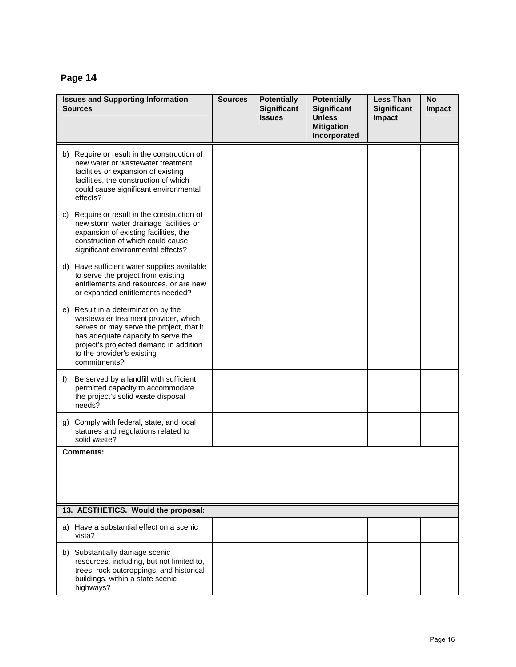|    | <b>Issues and Supporting Information</b><br><b>Sources</b>                                                                                                                                                                                            | <b>Sources</b> | <b>Potentially</b><br><b>Significant</b><br><b>Issues</b> | <b>Potentially</b><br><b>Significant</b><br><b>Unless</b><br><b>Mitigation</b><br>Incorporated | <b>Less Than</b><br><b>Significant</b><br>Impact | <b>No</b><br>Impact |
|----|-------------------------------------------------------------------------------------------------------------------------------------------------------------------------------------------------------------------------------------------------------|----------------|-----------------------------------------------------------|------------------------------------------------------------------------------------------------|--------------------------------------------------|---------------------|
|    | b) Require or result in the construction of<br>new water or wastewater treatment<br>facilities or expansion of existing<br>facilities, the construction of which<br>could cause significant environmental<br>effects?                                 |                |                                                           |                                                                                                |                                                  |                     |
| C) | Require or result in the construction of<br>new storm water drainage facilities or<br>expansion of existing facilities, the<br>construction of which could cause<br>significant environmental effects?                                                |                |                                                           |                                                                                                |                                                  |                     |
|    | d) Have sufficient water supplies available<br>to serve the project from existing<br>entitlements and resources, or are new<br>or expanded entitlements needed?                                                                                       |                |                                                           |                                                                                                |                                                  |                     |
|    | e) Result in a determination by the<br>wastewater treatment provider, which<br>serves or may serve the project, that it<br>has adequate capacity to serve the<br>project's projected demand in addition<br>to the provider's existing<br>commitments? |                |                                                           |                                                                                                |                                                  |                     |
| f) | Be served by a landfill with sufficient<br>permitted capacity to accommodate<br>the project's solid waste disposal<br>needs?                                                                                                                          |                |                                                           |                                                                                                |                                                  |                     |
| g) | Comply with federal, state, and local<br>statures and regulations related to<br>solid waste?                                                                                                                                                          |                |                                                           |                                                                                                |                                                  |                     |
|    | <b>Comments:</b>                                                                                                                                                                                                                                      |                |                                                           |                                                                                                |                                                  |                     |
|    | 13. AESTHETICS. Would the proposal:                                                                                                                                                                                                                   |                |                                                           |                                                                                                |                                                  |                     |
|    | a) Have a substantial effect on a scenic<br>vista?                                                                                                                                                                                                    |                |                                                           |                                                                                                |                                                  |                     |
|    | b) Substantially damage scenic<br>resources, including, but not limited to,<br>trees, rock outcroppings, and historical<br>buildings, within a state scenic<br>highways?                                                                              |                |                                                           |                                                                                                |                                                  |                     |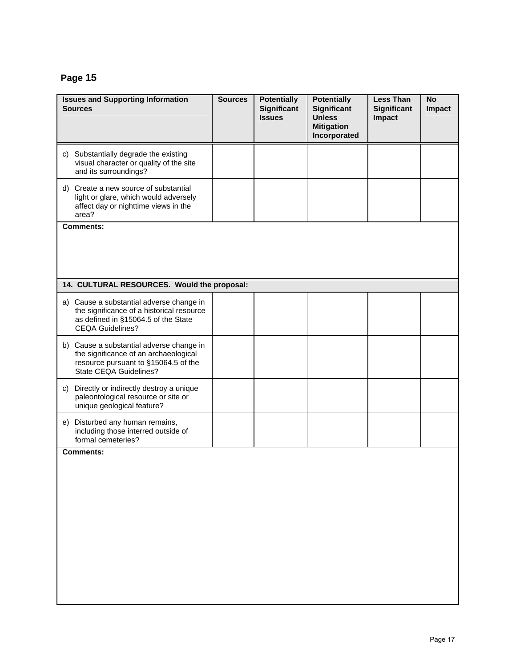| <b>Issues and Supporting Information</b><br><b>Sources</b>                                                                                              | <b>Sources</b> | <b>Potentially</b><br><b>Significant</b><br><b>Issues</b> | <b>Potentially</b><br><b>Significant</b><br><b>Unless</b><br><b>Mitigation</b><br>Incorporated | <b>Less Than</b><br><b>Significant</b><br>Impact | <b>No</b><br>Impact |
|---------------------------------------------------------------------------------------------------------------------------------------------------------|----------------|-----------------------------------------------------------|------------------------------------------------------------------------------------------------|--------------------------------------------------|---------------------|
| c) Substantially degrade the existing<br>visual character or quality of the site<br>and its surroundings?                                               |                |                                                           |                                                                                                |                                                  |                     |
| d) Create a new source of substantial<br>light or glare, which would adversely<br>affect day or nighttime views in the<br>area?                         |                |                                                           |                                                                                                |                                                  |                     |
| <b>Comments:</b>                                                                                                                                        |                |                                                           |                                                                                                |                                                  |                     |
| 14. CULTURAL RESOURCES. Would the proposal:                                                                                                             |                |                                                           |                                                                                                |                                                  |                     |
| a) Cause a substantial adverse change in<br>the significance of a historical resource<br>as defined in §15064.5 of the State<br><b>CEQA Guidelines?</b> |                |                                                           |                                                                                                |                                                  |                     |
| b) Cause a substantial adverse change in<br>the significance of an archaeological<br>resource pursuant to §15064.5 of the<br>State CEQA Guidelines?     |                |                                                           |                                                                                                |                                                  |                     |
| c) Directly or indirectly destroy a unique<br>paleontological resource or site or<br>unique geological feature?                                         |                |                                                           |                                                                                                |                                                  |                     |
| e) Disturbed any human remains,<br>including those interred outside of<br>formal cemeteries?                                                            |                |                                                           |                                                                                                |                                                  |                     |
| <b>Comments:</b>                                                                                                                                        |                |                                                           |                                                                                                |                                                  |                     |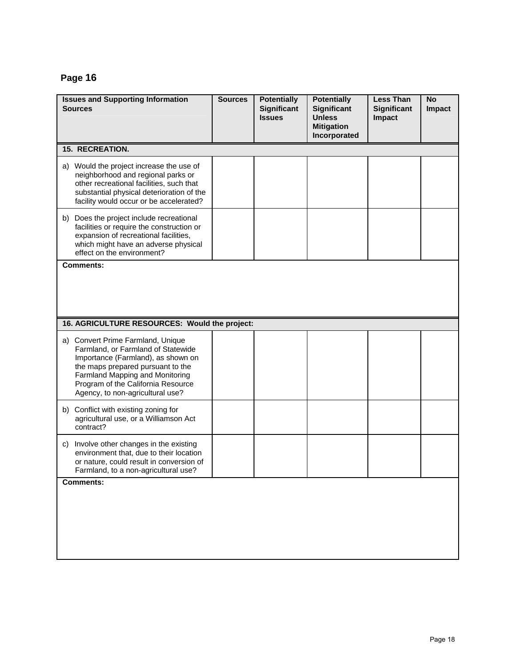| <b>Issues and Supporting Information</b><br>Sources                                                                                                                                                                                                             | <b>Sources</b> | <b>Potentially</b><br><b>Significant</b><br><b>Issues</b> | <b>Potentially</b><br><b>Significant</b><br><b>Unless</b><br><b>Mitigation</b><br>Incorporated | <b>Less Than</b><br><b>Significant</b><br>Impact | <b>No</b><br>Impact |
|-----------------------------------------------------------------------------------------------------------------------------------------------------------------------------------------------------------------------------------------------------------------|----------------|-----------------------------------------------------------|------------------------------------------------------------------------------------------------|--------------------------------------------------|---------------------|
| <b>15. RECREATION.</b>                                                                                                                                                                                                                                          |                |                                                           |                                                                                                |                                                  |                     |
| a) Would the project increase the use of<br>neighborhood and regional parks or<br>other recreational facilities, such that<br>substantial physical deterioration of the<br>facility would occur or be accelerated?                                              |                |                                                           |                                                                                                |                                                  |                     |
| b) Does the project include recreational<br>facilities or require the construction or<br>expansion of recreational facilities,<br>which might have an adverse physical<br>effect on the environment?                                                            |                |                                                           |                                                                                                |                                                  |                     |
| <b>Comments:</b>                                                                                                                                                                                                                                                |                |                                                           |                                                                                                |                                                  |                     |
| 16. AGRICULTURE RESOURCES: Would the project:                                                                                                                                                                                                                   |                |                                                           |                                                                                                |                                                  |                     |
| a) Convert Prime Farmland, Unique<br>Farmland, or Farmland of Statewide<br>Importance (Farmland), as shown on<br>the maps prepared pursuant to the<br>Farmland Mapping and Monitoring<br>Program of the California Resource<br>Agency, to non-agricultural use? |                |                                                           |                                                                                                |                                                  |                     |
| b) Conflict with existing zoning for<br>agricultural use, or a Williamson Act<br>contract?                                                                                                                                                                      |                |                                                           |                                                                                                |                                                  |                     |
| Involve other changes in the existing<br>C)<br>environment that, due to their location<br>or nature, could result in conversion of<br>Farmland, to a non-agricultural use?                                                                                      |                |                                                           |                                                                                                |                                                  |                     |
| <b>Comments:</b>                                                                                                                                                                                                                                                |                |                                                           |                                                                                                |                                                  |                     |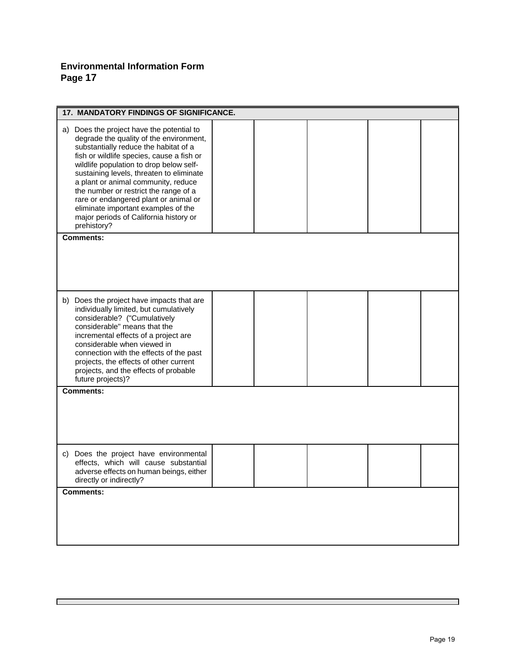### **Environmental Information Form Page 17**

 $\Box$ 

| <b>17. MANDATORY FINDINGS OF SIGNIFICANCE.</b>                                                                                                                                                                                                                                                                                                                                                                                                                                             |  |  |  |  |  |
|--------------------------------------------------------------------------------------------------------------------------------------------------------------------------------------------------------------------------------------------------------------------------------------------------------------------------------------------------------------------------------------------------------------------------------------------------------------------------------------------|--|--|--|--|--|
| a) Does the project have the potential to<br>degrade the quality of the environment,<br>substantially reduce the habitat of a<br>fish or wildlife species, cause a fish or<br>wildlife population to drop below self-<br>sustaining levels, threaten to eliminate<br>a plant or animal community, reduce<br>the number or restrict the range of a<br>rare or endangered plant or animal or<br>eliminate important examples of the<br>major periods of California history or<br>prehistory? |  |  |  |  |  |
| <b>Comments:</b>                                                                                                                                                                                                                                                                                                                                                                                                                                                                           |  |  |  |  |  |
|                                                                                                                                                                                                                                                                                                                                                                                                                                                                                            |  |  |  |  |  |
| b) Does the project have impacts that are<br>individually limited, but cumulatively<br>considerable? ("Cumulatively<br>considerable" means that the<br>incremental effects of a project are<br>considerable when viewed in<br>connection with the effects of the past<br>projects, the effects of other current<br>projects, and the effects of probable<br>future projects)?                                                                                                              |  |  |  |  |  |
| Comments:                                                                                                                                                                                                                                                                                                                                                                                                                                                                                  |  |  |  |  |  |
|                                                                                                                                                                                                                                                                                                                                                                                                                                                                                            |  |  |  |  |  |
| c) Does the project have environmental<br>effects, which will cause substantial<br>adverse effects on human beings, either<br>directly or indirectly?                                                                                                                                                                                                                                                                                                                                      |  |  |  |  |  |
| <b>Comments:</b>                                                                                                                                                                                                                                                                                                                                                                                                                                                                           |  |  |  |  |  |
|                                                                                                                                                                                                                                                                                                                                                                                                                                                                                            |  |  |  |  |  |

п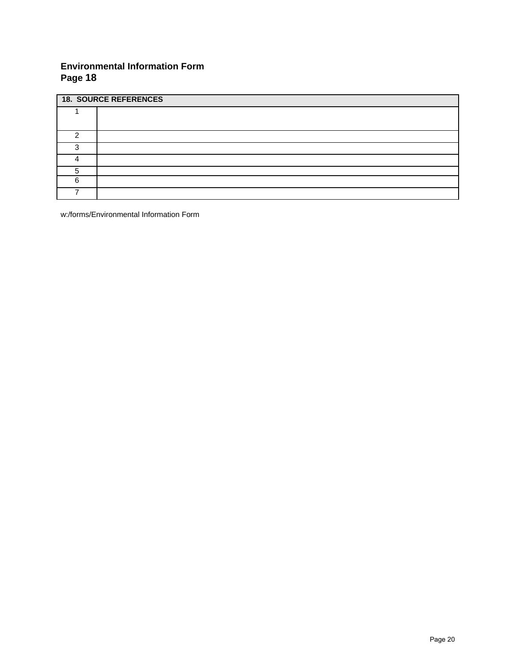### **Environmental Information Form Page 18**

| <b>18. SOURCE REFERENCES</b> |  |  |  |  |  |
|------------------------------|--|--|--|--|--|
|                              |  |  |  |  |  |
|                              |  |  |  |  |  |
|                              |  |  |  |  |  |
| ◠                            |  |  |  |  |  |
|                              |  |  |  |  |  |
|                              |  |  |  |  |  |
| ี                            |  |  |  |  |  |
|                              |  |  |  |  |  |

w:/forms/Environmental Information Form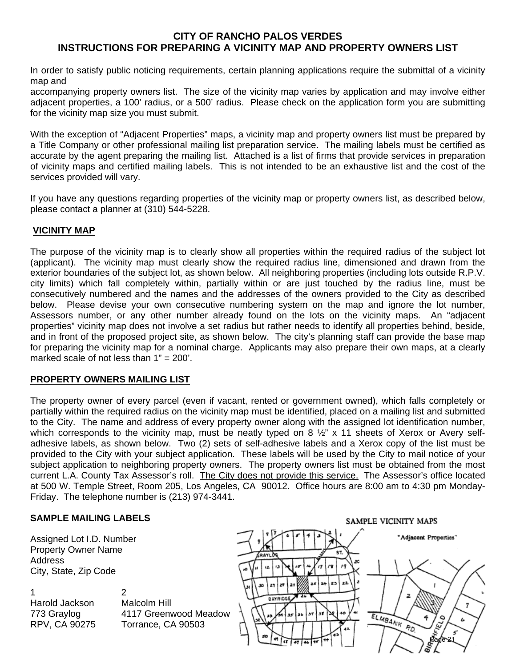#### **CITY OF RANCHO PALOS VERDES INSTRUCTIONS FOR PREPARING A VICINITY MAP AND PROPERTY OWNERS LIST**

In order to satisfy public noticing requirements, certain planning applications require the submittal of a vicinity map and

accompanying property owners list. The size of the vicinity map varies by application and may involve either adjacent properties, a 100' radius, or a 500' radius. Please check on the application form you are submitting for the vicinity map size you must submit.

With the exception of "Adjacent Properties" maps, a vicinity map and property owners list must be prepared by a Title Company or other professional mailing list preparation service. The mailing labels must be certified as accurate by the agent preparing the mailing list. Attached is a list of firms that provide services in preparation of vicinity maps and certified mailing labels. This is not intended to be an exhaustive list and the cost of the services provided will vary.

If you have any questions regarding properties of the vicinity map or property owners list, as described below, please contact a planner at (310) 544-5228.

#### **VICINITY MAP**

The purpose of the vicinity map is to clearly show all properties within the required radius of the subject lot (applicant). The vicinity map must clearly show the required radius line, dimensioned and drawn from the exterior boundaries of the subject lot, as shown below. All neighboring properties (including lots outside R.P.V. city limits) which fall completely within, partially within or are just touched by the radius line, must be consecutively numbered and the names and the addresses of the owners provided to the City as described below. Please devise your own consecutive numbering system on the map and ignore the lot number, Assessors number, or any other number already found on the lots on the vicinity maps. An "adjacent properties" vicinity map does not involve a set radius but rather needs to identify all properties behind, beside, and in front of the proposed project site, as shown below. The city's planning staff can provide the base map for preparing the vicinity map for a nominal charge. Applicants may also prepare their own maps, at a clearly marked scale of not less than  $1" = 200'$ .

#### **PROPERTY OWNERS MAILING LIST**

The property owner of every parcel (even if vacant, rented or government owned), which falls completely or partially within the required radius on the vicinity map must be identified, placed on a mailing list and submitted to the City. The name and address of every property owner along with the assigned lot identification number, which corresponds to the vicinity map, must be neatly typed on 8  $\frac{1}{2}$ " x 11 sheets of Xerox or Avery selfadhesive labels, as shown below. Two (2) sets of self-adhesive labels and a Xerox copy of the list must be provided to the City with your subject application. These labels will be used by the City to mail notice of your subiect application to neighboring property owners. The property owners list must be obtained from the most current L.A. County Tax Assessor's roll. The City does not provide this service. The Assessor's office located at 500 W. Temple Street, Room 205, Los Angeles, CA 90012. Office hours are 8:00 am to 4:30 pm Monday-Friday. The telephone number is (213) 974-3441.

#### **SAMPLE MAILING LABELS**

Assigned Lot I.D. Number Property Owner Name Address City, State, Zip Code

1 2 Harold Jackson Malcolm Hill

773 Graylog 4117 Greenwood Meadow RPV, CA 90275 Torrance, CA 90503

SAMPLE VICINITY MAPS

zs z

BAYRIDGE

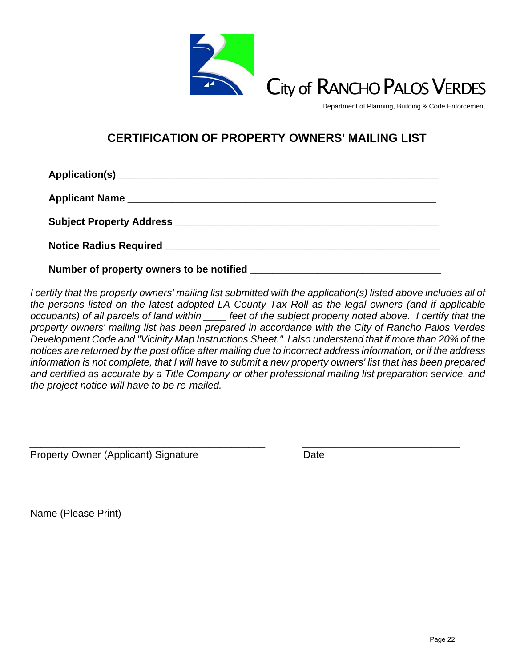

Department of Planning, Building & Code Enforcement

## **CERTIFICATION OF PROPERTY OWNERS' MAILING LIST**

| Number of property owners to be notified |
|------------------------------------------|

*I* certify that the property owners' mailing list submitted with the application(s) listed above includes all of *the persons listed on the latest adopted LA County Tax Roll as the legal owners (and if applicable occupants) of all parcels of land within \_\_\_\_ feet of the subject property noted above. I certify that the property owners' mailing list has been prepared in accordance with the City of Rancho Palos Verdes Development Code and "Vicinity Map Instructions Sheet." I also understand that if more than 20% of the notices are returned by the post office after mailing due to incorrect address information, or if the address information is not complete, that I will have to submit a new property owners' list that has been prepared and certified as accurate by a Title Company or other professional mailing list preparation service, and the project notice will have to be re-mailed.* 

*\_\_\_\_\_\_\_\_\_\_\_\_\_\_\_\_\_\_\_\_\_\_\_\_\_\_\_\_\_\_\_\_\_\_\_\_\_\_\_\_\_\_ \_\_\_\_\_\_\_\_\_\_\_\_\_\_\_\_\_\_\_\_\_\_\_\_\_\_\_\_* 

Property Owner (Applicant) Signature Date

**\_\_\_\_\_\_\_\_\_\_\_\_\_\_\_\_\_\_\_\_\_\_\_\_\_\_\_\_\_\_\_\_\_\_\_\_\_\_\_\_\_\_** 

Name (Please Print)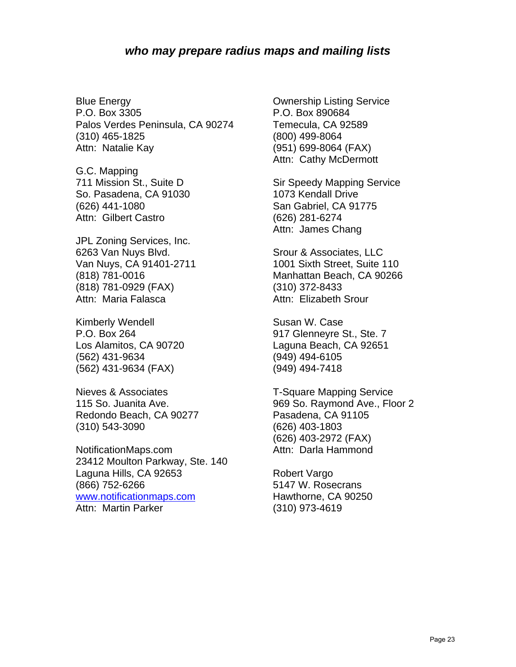Blue Energy P.O. Box 3305 Palos Verdes Peninsula, CA 90274 (310) 465-1825 Attn: Natalie Kay

G.C. Mapping 711 Mission St., Suite D So. Pasadena, CA 91030 (626) 441-1080 Attn: Gilbert Castro

JPL Zoning Services, Inc. 6263 Van Nuys Blvd. Van Nuys, CA 91401-2711 (818) 781-0016 (818) 781-0929 (FAX) Attn: Maria Falasca

Kimberly Wendell P.O. Box 264 Los Alamitos, CA 90720 (562) 431-9634 (562) 431-9634 (FAX)

Nieves & Associates 115 So. Juanita Ave. Redondo Beach, CA 90277 (310) 543-3090

NotificationMaps.com 23412 Moulton Parkway, Ste. 140 Laguna Hills, CA 92653 (866) 752-6266 [www.notificationmaps.com](http://www.notificationmaps.com/) Attn: Martin Parker

Ownership Listing Service P.O. Box 890684 Temecula, CA 92589 (800) 499-8064 (951) 699-8064 (FAX) Attn: Cathy McDermott

Sir Speedy Mapping Service 1073 Kendall Drive San Gabriel, CA 91775 (626) 281-6274 Attn: James Chang

Srour & Associates, LLC 1001 Sixth Street, Suite 110 Manhattan Beach, CA 90266 (310) 372-8433 Attn: Elizabeth Srour

Susan W. Case 917 Glenneyre St., Ste. 7 Laguna Beach, CA 92651 (949) 494-6105 (949) 494-7418

T-Square Mapping Service 969 So. Raymond Ave., Floor 2 Pasadena, CA 91105 (626) 403-1803 (626) 403-2972 (FAX) Attn: Darla Hammond

Robert Vargo 5147 W. Rosecrans Hawthorne, CA 90250 (310) 973-4619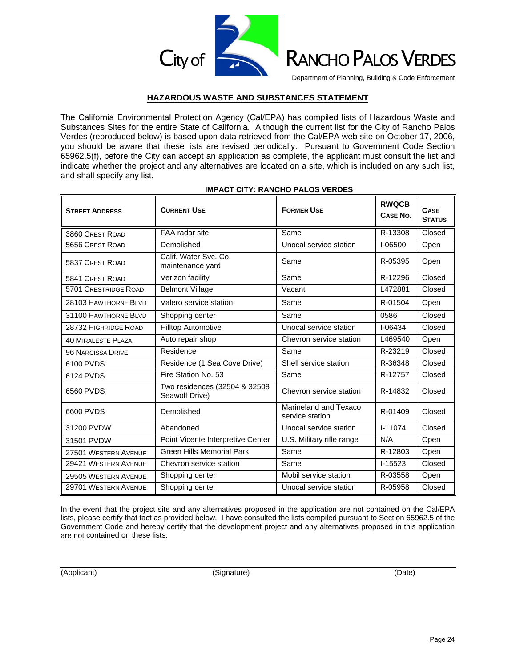

#### Department of Planning, Building & Code Enforcement

#### **HAZARDOUS WASTE AND SUBSTANCES STATEMENT**

The California Environmental Protection Agency (Cal/EPA) has compiled lists of Hazardous Waste and Substances Sites for the entire State of California. Although the current list for the City of Rancho Palos Verdes (reproduced below) is based upon data retrieved from the Cal/EPA web site on October 17, 2006, you should be aware that these lists are revised periodically. Pursuant to Government Code Section 65962.5(f), before the City can accept an application as complete, the applicant must consult the list and indicate whether the project and any alternatives are located on a site, which is included on any such list, and shall specify any list.

| <b>STREET ADDRESS</b>      | <b>CURRENT USE</b>                              | <b>FORMER USE</b>                        | <b>RWQCB</b><br>CASE No. | <b>CASE</b><br><b>STATUS</b> |
|----------------------------|-------------------------------------------------|------------------------------------------|--------------------------|------------------------------|
| 3860 CREST ROAD            | FAA radar site                                  | Same                                     | R-13308                  | Closed                       |
| 5656 CREST ROAD            | Demolished                                      | Unocal service station                   | I-06500                  | Open                         |
| <b>5837 CREST ROAD</b>     | Calif. Water Svc. Co.<br>maintenance yard       | Same                                     | R-05395                  | Open                         |
| 5841 CREST ROAD            | Verizon facility                                | Same                                     | R-12296                  | Closed                       |
| 5701 CRESTRIDGE ROAD       | <b>Belmont Village</b>                          | Vacant                                   | L472881                  | Closed                       |
| 28103 HAWTHORNE BLVD       | Valero service station                          | Same                                     | R-01504                  | Open                         |
| 31100 HAWTHORNE BLVD       | Shopping center                                 | Same                                     | 0586                     | Closed                       |
| 28732 HIGHRIDGE ROAD       | <b>Hilltop Automotive</b>                       | Unocal service station                   | $I - 06434$              | Closed                       |
| <b>40 MIRAL ESTE PLAZA</b> | Auto repair shop                                | Chevron service station                  | L469540                  | Open                         |
| 96 NARCISSA DRIVE          | Residence                                       | Same                                     | R-23219                  | Closed                       |
| 6100 PVDS                  | Residence (1 Sea Cove Drive)                    | Shell service station                    | R-36348                  | Closed                       |
| 6124 PVDS                  | Fire Station No. 53                             | Same                                     | R-12757                  | Closed                       |
| 6560 PVDS                  | Two residences (32504 & 32508<br>Seawolf Drive) | Chevron service station                  | R-14832                  | Closed                       |
| 6600 PVDS                  | Demolished                                      | Marineland and Texaco<br>service station | R-01409                  | Closed                       |
| 31200 PVDW                 | Abandoned                                       | Unocal service station                   | $I - 11074$              | Closed                       |
| 31501 PVDW                 | Point Vicente Interpretive Center               | U.S. Military rifle range                | N/A                      | Open                         |
| 27501 WESTERN AVENUE       | <b>Green Hills Memorial Park</b>                | Same                                     | $R - 12803$              | Open                         |
| 29421 WESTERN AVENUE       | Chevron service station                         | Same                                     | $I-15523$                | Closed                       |
| 29505 WESTERN AVENUE       | Shopping center                                 | Mobil service station                    | R-03558                  | Open                         |
| 29701 WESTERN AVENUE       | Shopping center                                 | Unocal service station                   | R-05958                  | Closed                       |

#### **IMPACT CITY: RANCHO PALOS VERDES**

In the event that the project site and any alternatives proposed in the application are not contained on the Cal/EPA lists, please certify that fact as provided below. I have consulted the lists compiled pursuant to Section 65962.5 of the Government Code and hereby certify that the development project and any alternatives proposed in this application are not contained on these lists.